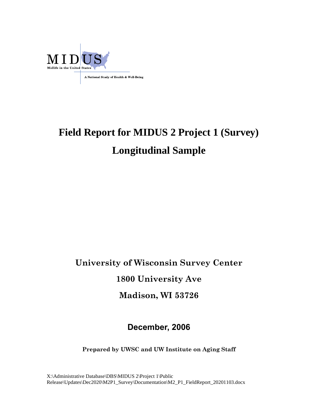

# **Field Report for MIDUS 2 Project 1 (Survey) Longitudinal Sample**

# **University of Wisconsin Survey Center**

**1800 University Ave**

**Madison, WI 53726**

# **December, 2006**

**Prepared by UWSC and UW Institute on Aging Staff**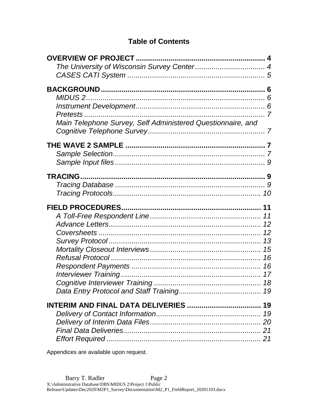# **Table of Contents**

| Main Telephone Survey, Self Administered Questionnaire, and |  |
|-------------------------------------------------------------|--|
|                                                             |  |
|                                                             |  |
|                                                             |  |
|                                                             |  |
|                                                             |  |
|                                                             |  |
|                                                             |  |
|                                                             |  |
|                                                             |  |
|                                                             |  |
|                                                             |  |
|                                                             |  |
|                                                             |  |
|                                                             |  |
|                                                             |  |
|                                                             |  |
|                                                             |  |
|                                                             |  |
|                                                             |  |
|                                                             |  |
|                                                             |  |
|                                                             |  |
|                                                             |  |
|                                                             |  |
|                                                             |  |
|                                                             |  |

Appendices are available upon request.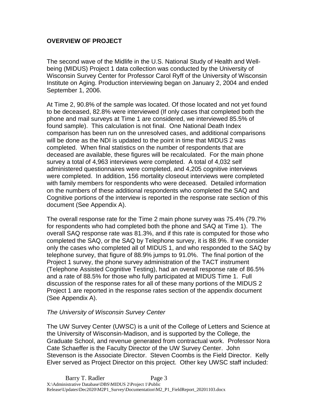# **OVERVIEW OF PROJECT**

The second wave of the Midlife in the U.S. National Study of Health and Wellbeing (MIDUS) Project 1 data collection was conducted by the University of Wisconsin Survey Center for Professor Carol Ryff of the University of Wisconsin Institute on Aging. Production interviewing began on January 2, 2004 and ended September 1, 2006.

At Time 2, 90.8% of the sample was located. Of those located and not yet found to be deceased, 82.8% were interviewed (If only cases that completed both the phone and mail surveys at Time 1 are considered, we interviewed 85.5% of found sample). This calculation is not final. One National Death Index comparison has been run on the unresolved cases, and additional comparisons will be done as the NDI is updated to the point in time that MIDUS 2 was completed. When final statistics on the number of respondents that are deceased are available, these figures will be recalculated. For the main phone survey a total of 4,963 interviews were completed. A total of 4,032 self administered questionnaires were completed, and 4,205 cognitive interviews were completed. In addition, 156 mortality closeout interviews were completed with family members for respondents who were deceased. Detailed information on the numbers of these additional respondents who completed the SAQ and Cognitive portions of the interview is reported in the response rate section of this document (See Appendix A).

The overall response rate for the Time 2 main phone survey was 75.4% (79.7% for respondents who had completed both the phone and SAQ at Time 1). The overall SAQ response rate was 81.3%, and if this rate is computed for those who completed the SAQ, or the SAQ by Telephone survey, it is 88.9%. If we consider only the cases who completed all of MIDUS 1, and who responded to the SAQ by telephone survey, that figure of 88.9% jumps to 91.0%. The final portion of the Project 1 survey, the phone survey administration of the TACT instrument (Telephone Assisted Cognitive Testing), had an overall response rate of 86.5% and a rate of 88.5% for those who fully participated at MIDUS Time 1. Full discussion of the response rates for all of these many portions of the MIDUS 2 Project 1 are reported in the response rates section of the appendix document (See Appendix A).

#### *The University of Wisconsin Survey Center*

The UW Survey Center (UWSC) is a unit of the College of Letters and Science at the University of Wisconsin-Madison, and is supported by the College, the Graduate School, and revenue generated from contractual work. Professor Nora Cate Schaeffer is the Faculty Director of the UW Survey Center. John Stevenson is the Associate Director. Steven Coombs is the Field Director. Kelly Elver served as Project Director on this project. Other key UWSC staff included: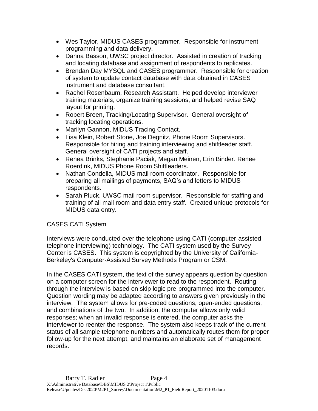- Wes Taylor, MIDUS CASES programmer. Responsible for instrument programming and data delivery.
- Danna Basson, UWSC project director. Assisted in creation of tracking and locating database and assignment of respondents to replicates.
- Brendan Day MYSQL and CASES programmer. Responsible for creation of system to update contact database with data obtained in CASES instrument and database consultant.
- Rachel Rosenbaum, Research Assistant. Helped develop interviewer training materials, organize training sessions, and helped revise SAQ layout for printing.
- Robert Breen, Tracking/Locating Supervisor. General oversight of tracking locating operations.
- Marilyn Gannon, MIDUS Tracing Contact.
- Lisa Klein, Robert Stone, Joe Degnitz, Phone Room Supervisors. Responsible for hiring and training interviewing and shiftleader staff. General oversight of CATI projects and staff.
- Renea Brinks, Stephanie Paciak, Megan Meinen, Erin Binder. Renee Roerdink, MIDUS Phone Room Shiftleaders.
- Nathan Condella, MIDUS mail room coordinator. Responsible for preparing all mailings of payments, SAQ's and letters to MIDUS respondents.
- Sarah Pluck, UWSC mail room supervisor. Responsible for staffing and training of all mail room and data entry staff. Created unique protocols for MIDUS data entry.

# CASES CATI System

Interviews were conducted over the telephone using CATI (computer-assisted telephone interviewing) technology. The CATI system used by the Survey Center is CASES. This system is copyrighted by the University of California-Berkeley's Computer-Assisted Survey Methods Program or CSM.

In the CASES CATI system, the text of the survey appears question by question on a computer screen for the interviewer to read to the respondent. Routing through the interview is based on skip logic pre-programmed into the computer. Question wording may be adapted according to answers given previously in the interview. The system allows for pre-coded questions, open-ended questions, and combinations of the two. In addition, the computer allows only valid responses; when an invalid response is entered, the computer asks the interviewer to reenter the response. The system also keeps track of the current status of all sample telephone numbers and automatically routes them for proper follow-up for the next attempt, and maintains an elaborate set of management records.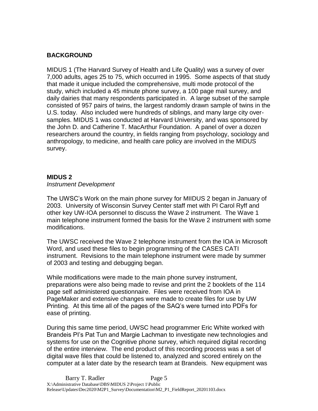# **BACKGROUND**

MIDUS 1 (The Harvard Survey of Health and Life Quality) was a survey of over 7,000 adults, ages 25 to 75, which occurred in 1995. Some aspects of that study that made it unique included the comprehensive, multi mode protocol of the study, which included a 45 minute phone survey, a 100 page mail survey, and daily dairies that many respondents participated in. A large subset of the sample consisted of 957 pairs of twins, the largest randomly drawn sample of twins in the U.S. today. Also included were hundreds of siblings, and many large city oversamples. MIDUS 1 was conducted at Harvard University, and was sponsored by the John D. and Catherine T. MacArthur Foundation. A panel of over a dozen researchers around the country, in fields ranging from psychology, sociology and anthropology, to medicine, and health care policy are involved in the MIDUS survey.

#### **MIDUS 2**

#### *Instrument Development*

The UWSC's Work on the main phone survey for MIIDUS 2 began in January of 2003. University of Wisconsin Survey Center staff met with PI Carol Ryff and other key UW-IOA personnel to discuss the Wave 2 instrument. The Wave 1 main telephone instrument formed the basis for the Wave 2 instrument with some modifications.

The UWSC received the Wave 2 telephone instrument from the IOA in Microsoft Word, and used these files to begin programming of the CASES CATI instrument. Revisions to the main telephone instrument were made by summer of 2003 and testing and debugging began.

While modifications were made to the main phone survey instrument, preparations were also being made to revise and print the 2 booklets of the 114 page self administered questionnaire. Files were received from IOA in PageMaker and extensive changes were made to create files for use by UW Printing. At this time all of the pages of the SAQ's were turned into PDFs for ease of printing.

During this same time period, UWSC head programmer Eric White worked with Brandeis PI's Pat Tun and Margie Lachman to investigate new technologies and systems for use on the Cognitive phone survey, which required digital recording of the entire interview. The end product of this recording process was a set of digital wave files that could be listened to, analyzed and scored entirely on the computer at a later date by the research team at Brandeis. New equipment was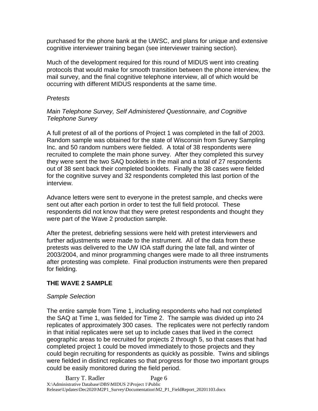purchased for the phone bank at the UWSC, and plans for unique and extensive cognitive interviewer training began (see interviewer training section).

Much of the development required for this round of MIDUS went into creating protocols that would make for smooth transition between the phone interview, the mail survey, and the final cognitive telephone interview, all of which would be occurring with different MIDUS respondents at the same time.

## *Pretests*

## *Main Telephone Survey, Self Administered Questionnaire, and Cognitive Telephone Survey*

A full pretest of all of the portions of Project 1 was completed in the fall of 2003. Random sample was obtained for the state of Wisconsin from Survey Sampling Inc. and 50 random numbers were fielded. A total of 38 respondents were recruited to complete the main phone survey. After they completed this survey they were sent the two SAQ booklets in the mail and a total of 27 respondents out of 38 sent back their completed booklets. Finally the 38 cases were fielded for the cognitive survey and 32 respondents completed this last portion of the interview.

Advance letters were sent to everyone in the pretest sample, and checks were sent out after each portion in order to test the full field protocol. These respondents did not know that they were pretest respondents and thought they were part of the Wave 2 production sample.

After the pretest, debriefing sessions were held with pretest interviewers and further adjustments were made to the instrument. All of the data from these pretests was delivered to the UW IOA staff during the late fall, and winter of 2003/2004, and minor programming changes were made to all three instruments after protesting was complete. Final production instruments were then prepared for fielding.

# **THE WAVE 2 SAMPLE**

#### *Sample Selection*

The entire sample from Time 1, including respondents who had not completed the SAQ at Time 1, was fielded for Time 2. The sample was divided up into 24 replicates of approximately 300 cases. The replicates were not perfectly random in that initial replicates were set up to include cases that lived in the correct geographic areas to be recruited for projects 2 through 5, so that cases that had completed project 1 could be moved immediately to those projects and they could begin recruiting for respondents as quickly as possible. Twins and siblings were fielded in distinct replicates so that progress for those two important groups could be easily monitored during the field period.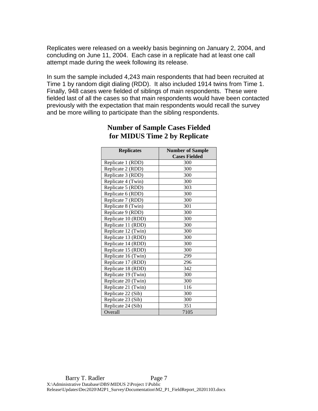Replicates were released on a weekly basis beginning on January 2, 2004, and concluding on June 11, 2004. Each case in a replicate had at least one call attempt made during the week following its release.

In sum the sample included 4,243 main respondents that had been recruited at Time 1 by random digit dialing (RDD). It also included 1914 twins from Time 1. Finally, 948 cases were fielded of siblings of main respondents. These were fielded last of all the cases so that main respondents would have been contacted previously with the expectation that main respondents would recall the survey and be more willing to participate than the sibling respondents.

| <b>Replicates</b>   | <b>Number of Sample</b> |  |
|---------------------|-------------------------|--|
|                     | <b>Cases Fielded</b>    |  |
| Replicate 1 (RDD)   | 300                     |  |
| Replicate 2 (RDD)   | 300                     |  |
| Replicate 3 (RDD)   | 300                     |  |
| Replicate 4 (Twin)  | 300                     |  |
| Replicate 5 (RDD)   | 303                     |  |
| Replicate 6 (RDD)   | 300                     |  |
| Replicate 7 (RDD)   | 300                     |  |
| Replicate 8 (Twin)  | 301                     |  |
| Replicate 9 (RDD)   | 300                     |  |
| Replicate 10 (RDD)  | 300                     |  |
| Replicate 11 (RDD)  | 300                     |  |
| Replicate 12 (Twin) | 300                     |  |
| Replicate 13 (RDD)  | 300                     |  |
| Replicate 14 (RDD)  | 300                     |  |
| Replicate 15 (RDD)  | 300                     |  |
| Replicate 16 (Twin) | 299                     |  |
| Replicate 17 (RDD)  | 296                     |  |
| Replicate 18 (RDD)  | 342                     |  |
| Replicate 19 (Twin) | 300                     |  |
| Replicate 20 (Twin) | 300                     |  |
| Replicate 21 (Twin) | 116                     |  |
| Replicate 22 (Sib)  | 300                     |  |
| Replicate 23 (Sib)  | 300                     |  |
| Replicate 24 (Sib)  | 351                     |  |
| Overall             | 7105                    |  |

# **Number of Sample Cases Fielded for MIDUS Time 2 by Replicate**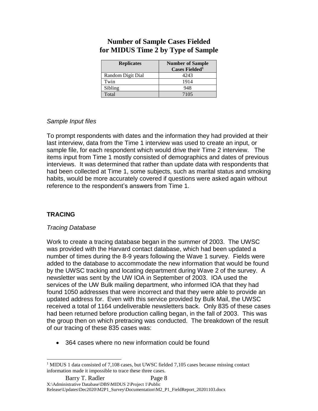# **Number of Sample Cases Fielded for MIDUS Time 2 by Type of Sample**

| <b>Replicates</b> | <b>Number of Sample</b><br>Cases Fielded <sup>1</sup> |  |
|-------------------|-------------------------------------------------------|--|
| Random Digit Dial | 4243                                                  |  |
| Twin              | 1914                                                  |  |
| Sibling           | 948                                                   |  |
| Total             | 7105                                                  |  |

# *Sample Input files*

To prompt respondents with dates and the information they had provided at their last interview, data from the Time 1 interview was used to create an input, or sample file, for each respondent which would drive their Time 2 interview. The items input from Time 1 mostly consisted of demographics and dates of previous interviews. It was determined that rather than update data with respondents that had been collected at Time 1, some subjects, such as marital status and smoking habits, would be more accurately covered if questions were asked again without reference to the respondent's answers from Time 1.

#### **TRACING**

 $\overline{a}$ 

#### *Tracing Database*

Work to create a tracing database began in the summer of 2003. The UWSC was provided with the Harvard contact database, which had been updated a number of times during the 8-9 years following the Wave 1 survey. Fields were added to the database to accommodate the new information that would be found by the UWSC tracking and locating department during Wave 2 of the survey. A newsletter was sent by the UW IOA in September of 2003. IOA used the services of the UW Bulk mailing department, who informed IOA that they had found 1050 addresses that were incorrect and that they were able to provide an updated address for. Even with this service provided by Bulk Mail, the UWSC received a total of 1164 undeliverable newsletters back. Only 835 of these cases had been returned before production calling began, in the fall of 2003. This was the group then on which pretracing was conducted. The breakdown of the result of our tracing of these 835 cases was:

364 cases where no new information could be found

<sup>&</sup>lt;sup>1</sup> MIDUS 1 data consisted of 7,108 cases, but UWSC fielded 7,105 cases because missing contact information made it impossible to trace these three cases.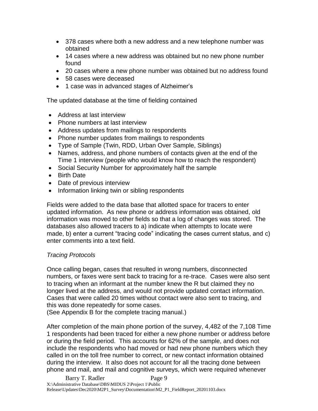- 378 cases where both a new address and a new telephone number was obtained
- 14 cases where a new address was obtained but no new phone number found
- 20 cases where a new phone number was obtained but no address found
- 58 cases were deceased
- 1 case was in advanced stages of Alzheimer's

The updated database at the time of fielding contained

- Address at last interview
- Phone numbers at last interview
- Address updates from mailings to respondents
- Phone number updates from mailings to respondents
- Type of Sample (Twin, RDD, Urban Over Sample, Siblings)
- Names, address, and phone numbers of contacts given at the end of the Time 1 interview (people who would know how to reach the respondent)
- Social Security Number for approximately half the sample
- Birth Date
- Date of previous interview
- Information linking twin or sibling respondents

Fields were added to the data base that allotted space for tracers to enter updated information. As new phone or address information was obtained, old information was moved to other fields so that a log of changes was stored. The databases also allowed tracers to a) indicate when attempts to locate were made, b) enter a current "tracing code" indicating the cases current status, and c) enter comments into a text field.

# *Tracing Protocols*

Once calling began, cases that resulted in wrong numbers, disconnected numbers, or faxes were sent back to tracing for a re-trace. Cases were also sent to tracing when an informant at the number knew the R but claimed they no longer lived at the address, and would not provide updated contact information. Cases that were called 20 times without contact were also sent to tracing, and this was done repeatedly for some cases.

(See Appendix B for the complete tracing manual.)

After completion of the main phone portion of the survey, 4,482 of the 7,108 Time 1 respondents had been traced for either a new phone number or address before or during the field period. This accounts for 62% of the sample, and does not include the respondents who had moved or had new phone numbers which they called in on the toll free number to correct, or new contact information obtained during the interview. It also does not account for all the tracing done between phone and mail, and mail and cognitive surveys, which were required whenever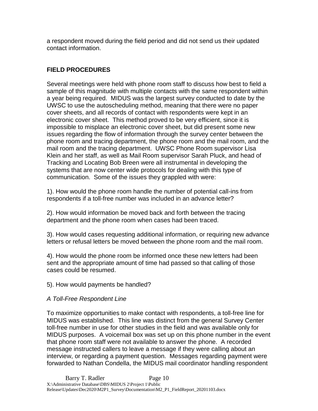a respondent moved during the field period and did not send us their updated contact information.

# **FIELD PROCEDURES**

Several meetings were held with phone room staff to discuss how best to field a sample of this magnitude with multiple contacts with the same respondent within a year being required. MIDUS was the largest survey conducted to date by the UWSC to use the autoscheduling method, meaning that there were no paper cover sheets, and all records of contact with respondents were kept in an electronic cover sheet. This method proved to be very efficient, since it is impossible to misplace an electronic cover sheet, but did present some new issues regarding the flow of information through the survey center between the phone room and tracing department, the phone room and the mail room, and the mail room and the tracing department. UWSC Phone Room supervisor Lisa Klein and her staff, as well as Mail Room supervisor Sarah Pluck, and head of Tracking and Locating Bob Breen were all instrumental in developing the systems that are now center wide protocols for dealing with this type of communication. Some of the issues they grappled with were:

1). How would the phone room handle the number of potential call-ins from respondents if a toll-free number was included in an advance letter?

2). How would information be moved back and forth between the tracing department and the phone room when cases had been traced.

3). How would cases requesting additional information, or requiring new advance letters or refusal letters be moved between the phone room and the mail room.

4). How would the phone room be informed once these new letters had been sent and the appropriate amount of time had passed so that calling of those cases could be resumed.

5). How would payments be handled?

# *A Toll-Free Respondent Line*

To maximize opportunities to make contact with respondents, a toll-free line for MIDUS was established. This line was distinct from the general Survey Center toll-free number in use for other studies in the field and was available only for MIDUS purposes. A voicemail box was set up on this phone number in the event that phone room staff were not available to answer the phone. A recorded message instructed callers to leave a message if they were calling about an interview, or regarding a payment question. Messages regarding payment were forwarded to Nathan Condella, the MIDUS mail coordinator handling respondent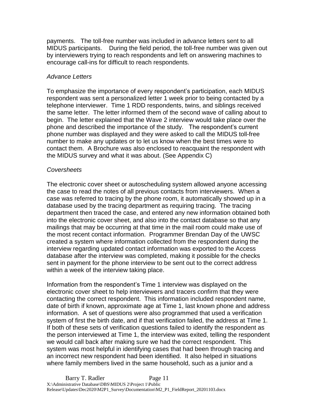payments. The toll-free number was included in advance letters sent to all MIDUS participants. During the field period, the toll-free number was given out by interviewers trying to reach respondents and left on answering machines to encourage call-ins for difficult to reach respondents.

## *Advance Letters*

To emphasize the importance of every respondent's participation, each MIDUS respondent was sent a personalized letter 1 week prior to being contacted by a telephone interviewer. Time 1 RDD respondents, twins, and siblings received the same letter. The letter informed them of the second wave of calling about to begin. The letter explained that the Wave 2 interview would take place over the phone and described the importance of the study. The respondent's current phone number was displayed and they were asked to call the MIDUS toll-free number to make any updates or to let us know when the best times were to contact them. A Brochure was also enclosed to reacquaint the respondent with the MIDUS survey and what it was about. (See Appendix C)

## *Coversheets*

The electronic cover sheet or autoscheduling system allowed anyone accessing the case to read the notes of all previous contacts from interviewers. When a case was referred to tracing by the phone room, it automatically showed up in a database used by the tracing department as requiring tracing. The tracing department then traced the case, and entered any new information obtained both into the electronic cover sheet, and also into the contact database so that any mailings that may be occurring at that time in the mail room could make use of the most recent contact information. Programmer Brendan Day of the UWSC created a system where information collected from the respondent during the interview regarding updated contact information was exported to the Access database after the interview was completed, making it possible for the checks sent in payment for the phone interview to be sent out to the correct address within a week of the interview taking place.

Information from the respondent's Time 1 interview was displayed on the electronic cover sheet to help interviewers and tracers confirm that they were contacting the correct respondent. This information included respondent name, date of birth if known, approximate age at Time 1, last known phone and address information. A set of questions were also programmed that used a verification system of first the birth date, and if that verification failed, the address at Time 1. If both of these sets of verification questions failed to identify the respondent as the person interviewed at Time 1, the interview was exited, telling the respondent we would call back after making sure we had the correct respondent. This system was most helpful in identifying cases that had been through tracing and an incorrect new respondent had been identified. It also helped in situations where family members lived in the same household, such as a junior and a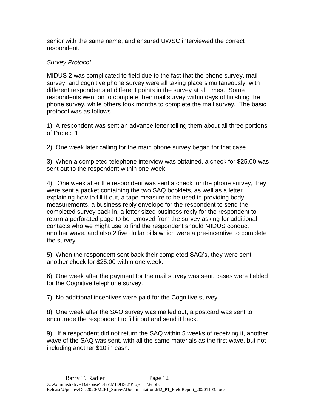senior with the same name, and ensured UWSC interviewed the correct respondent.

# *Survey Protocol*

MIDUS 2 was complicated to field due to the fact that the phone survey, mail survey, and cognitive phone survey were all taking place simultaneously, with different respondents at different points in the survey at all times. Some respondents went on to complete their mail survey within days of finishing the phone survey, while others took months to complete the mail survey. The basic protocol was as follows.

1). A respondent was sent an advance letter telling them about all three portions of Project 1

2). One week later calling for the main phone survey began for that case.

3). When a completed telephone interview was obtained, a check for \$25.00 was sent out to the respondent within one week.

4). One week after the respondent was sent a check for the phone survey, they were sent a packet containing the two SAQ booklets, as well as a letter explaining how to fill it out, a tape measure to be used in providing body measurements, a business reply envelope for the respondent to send the completed survey back in, a letter sized business reply for the respondent to return a perforated page to be removed from the survey asking for additional contacts who we might use to find the respondent should MIDUS conduct another wave, and also 2 five dollar bills which were a pre-incentive to complete the survey.

5). When the respondent sent back their completed SAQ's, they were sent another check for \$25.00 within one week.

6). One week after the payment for the mail survey was sent, cases were fielded for the Cognitive telephone survey.

7). No additional incentives were paid for the Cognitive survey.

8). One week after the SAQ survey was mailed out, a postcard was sent to encourage the respondent to fill it out and send it back.

9). If a respondent did not return the SAQ within 5 weeks of receiving it, another wave of the SAQ was sent, with all the same materials as the first wave, but not including another \$10 in cash.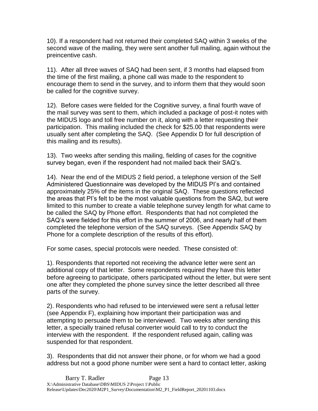10). If a respondent had not returned their completed SAQ within 3 weeks of the second wave of the mailing, they were sent another full mailing, again without the preincentive cash.

11). After all three waves of SAQ had been sent, if 3 months had elapsed from the time of the first mailing, a phone call was made to the respondent to encourage them to send in the survey, and to inform them that they would soon be called for the cognitive survey.

12). Before cases were fielded for the Cognitive survey, a final fourth wave of the mail survey was sent to them, which included a package of post-it notes with the MIDUS logo and toll free number on it, along with a letter requesting their participation. This mailing included the check for \$25.00 that respondents were usually sent after completing the SAQ. (See Appendix D for full description of this mailing and its results).

13). Two weeks after sending this mailing, fielding of cases for the cognitive survey began, even if the respondent had not mailed back their SAQ's.

14). Near the end of the MIDUS 2 field period, a telephone version of the Self Administered Questionnaire was developed by the MIDUS PI's and contained approximately 25% of the items in the original SAQ. These questions reflected the areas that PI's felt to be the most valuable questions from the SAQ, but were limited to this number to create a viable telephone survey length for what came to be called the SAQ by Phone effort. Respondents that had not completed the SAQ's were fielded for this effort in the summer of 2006, and nearly half of them completed the telephone version of the SAQ surveys. (See Appendix SAQ by Phone for a complete description of the results of this effort).

For some cases, special protocols were needed. These consisted of:

1). Respondents that reported not receiving the advance letter were sent an additional copy of that letter. Some respondents required they have this letter before agreeing to participate, others participated without the letter, but were sent one after they completed the phone survey since the letter described all three parts of the survey.

2). Respondents who had refused to be interviewed were sent a refusal letter (see Appendix F), explaining how important their participation was and attempting to persuade them to be interviewed. Two weeks after sending this letter, a specially trained refusal converter would call to try to conduct the interview with the respondent. If the respondent refused again, calling was suspended for that respondent.

3). Respondents that did not answer their phone, or for whom we had a good address but not a good phone number were sent a hard to contact letter, asking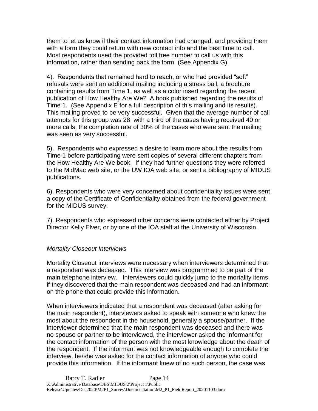them to let us know if their contact information had changed, and providing them with a form they could return with new contact info and the best time to call. Most respondents used the provided toll free number to call us with this information, rather than sending back the form. (See Appendix G).

4). Respondents that remained hard to reach, or who had provided "soft" refusals were sent an additional mailing including a stress ball, a brochure containing results from Time 1, as well as a color insert regarding the recent publication of How Healthy Are We? A book published regarding the results of Time 1. (See Appendix E for a full description of this mailing and its results). This mailing proved to be very successful. Given that the average number of call attempts for this group was 28, with a third of the cases having received 40 or more calls, the completion rate of 30% of the cases who were sent the mailing was seen as very successful.

5). Respondents who expressed a desire to learn more about the results from Time 1 before participating were sent copies of several different chapters from the How Healthy Are We book. If they had further questions they were referred to the MidMac web site, or the UW IOA web site, or sent a bibliography of MIDUS publications.

6). Respondents who were very concerned about confidentiality issues were sent a copy of the Certificate of Confidentiality obtained from the federal government for the MIDUS survey.

7). Respondents who expressed other concerns were contacted either by Project Director Kelly Elver, or by one of the IOA staff at the University of Wisconsin.

#### *Mortality Closeout Interviews*

Mortality Closeout interviews were necessary when interviewers determined that a respondent was deceased. This interview was programmed to be part of the main telephone interview. Interviewers could quickly jump to the mortality items if they discovered that the main respondent was deceased and had an informant on the phone that could provide this information.

When interviewers indicated that a respondent was deceased (after asking for the main respondent), interviewers asked to speak with someone who knew the most about the respondent in the household, generally a spouse/partner. If the interviewer determined that the main respondent was deceased and there was no spouse or partner to be interviewed, the interviewer asked the informant for the contact information of the person with the most knowledge about the death of the respondent. If the informant was not knowledgeable enough to complete the interview, he/she was asked for the contact information of anyone who could provide this information. If the informant knew of no such person, the case was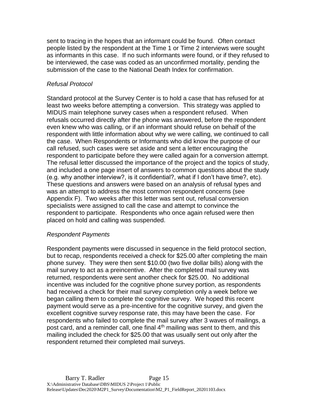sent to tracing in the hopes that an informant could be found. Often contact people listed by the respondent at the Time 1 or Time 2 interviews were sought as informants in this case. If no such informants were found, or if they refused to be interviewed, the case was coded as an unconfirmed mortality, pending the submission of the case to the National Death Index for confirmation.

# *Refusal Protocol*

Standard protocol at the Survey Center is to hold a case that has refused for at least two weeks before attempting a conversion. This strategy was applied to MIDUS main telephone survey cases when a respondent refused. When refusals occurred directly after the phone was answered, before the respondent even knew who was calling, or if an informant should refuse on behalf of the respondent with little information about why we were calling, we continued to call the case. When Respondents or Informants who did know the purpose of our call refused, such cases were set aside and sent a letter encouraging the respondent to participate before they were called again for a conversion attempt. The refusal letter discussed the importance of the project and the topics of study, and included a one page insert of answers to common questions about the study (e.g. why another interview?, is it confidential?, what if I don't have time?, etc). These questions and answers were based on an analysis of refusal types and was an attempt to address the most common respondent concerns (see Appendix F). Two weeks after this letter was sent out, refusal conversion specialists were assigned to call the case and attempt to convince the respondent to participate. Respondents who once again refused were then placed on hold and calling was suspended.

#### *Respondent Payments*

Respondent payments were discussed in sequence in the field protocol section, but to recap, respondents received a check for \$25.00 after completing the main phone survey. They were then sent \$10.00 (two five dollar bills) along with the mail survey to act as a preincentive. After the completed mail survey was returned, respondents were sent another check for \$25.00. No additional incentive was included for the cognitive phone survey portion, as respondents had received a check for their mail survey completion only a week before we began calling them to complete the cognitive survey. We hoped this recent payment would serve as a pre-incentive for the cognitive survey, and given the excellent cognitive survey response rate, this may have been the case. For respondents who failed to complete the mail survey after 3 waves of mailings, a post card, and a reminder call, one final 4<sup>th</sup> mailing was sent to them, and this mailing included the check for \$25.00 that was usually sent out only after the respondent returned their completed mail surveys.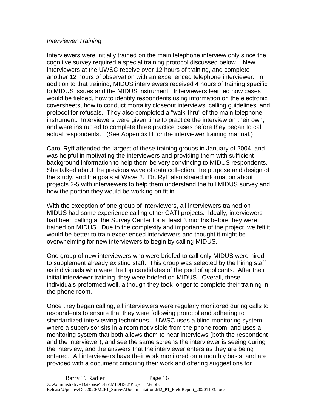#### *Interviewer Training*

Interviewers were initially trained on the main telephone interview only since the cognitive survey required a special training protocol discussed below. New interviewers at the UWSC receive over 12 hours of training, and complete another 12 hours of observation with an experienced telephone interviewer. In addition to that training, MIDUS interviewers received 4 hours of training specific to MIDUS issues and the MIDUS instrument. Interviewers learned how cases would be fielded, how to identify respondents using information on the electronic coversheets, how to conduct mortality closeout interviews, calling guidelines, and protocol for refusals. They also completed a "walk-thru" of the main telephone instrument. Interviewers were given time to practice the interview on their own, and were instructed to complete three practice cases before they began to call actual respondents. (See Appendix H for the interviewer training manual.)

Carol Ryff attended the largest of these training groups in January of 2004, and was helpful in motivating the interviewers and providing them with sufficient background information to help them be very convincing to MIDUS respondents. She talked about the previous wave of data collection, the purpose and design of the study, and the goals at Wave 2. Dr. Ryff also shared information about projects 2-5 with interviewers to help them understand the full MIDUS survey and how the portion they would be working on fit in.

With the exception of one group of interviewers, all interviewers trained on MIDUS had some experience calling other CATI projects. Ideally, interviewers had been calling at the Survey Center for at least 3 months before they were trained on MIDUS. Due to the complexity and importance of the project, we felt it would be better to train experienced interviewers and thought it might be overwhelming for new interviewers to begin by calling MIDUS.

One group of new interviewers who were briefed to call only MIDUS were hired to supplement already existing staff. This group was selected by the hiring staff as individuals who were the top candidates of the pool of applicants. After their initial interviewer training, they were briefed on MIDUS. Overall, these individuals preformed well, although they took longer to complete their training in the phone room.

Once they began calling, all interviewers were regularly monitored during calls to respondents to ensure that they were following protocol and adhering to standardized interviewing techniques. UWSC uses a blind monitoring system, where a supervisor sits in a room not visible from the phone room, and uses a monitoring system that both allows them to hear interviews (both the respondent and the interviewer), and see the same screens the interviewer is seeing during the interview, and the answers that the interviewer enters as they are being entered. All interviewers have their work monitored on a monthly basis, and are provided with a document critiquing their work and offering suggestions for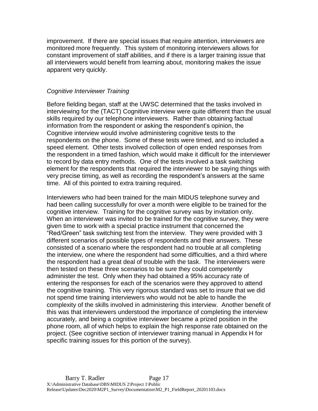improvement. If there are special issues that require attention, interviewers are monitored more frequently. This system of monitoring interviewers allows for constant improvement of staff abilities, and if there is a larger training issue that all interviewers would benefit from learning about, monitoring makes the issue apparent very quickly.

## *Cognitive Interviewer Training*

Before fielding began, staff at the UWSC determined that the tasks involved in interviewing for the (TACT) Cognitive interview were quite different than the usual skills required by our telephone interviewers. Rather than obtaining factual information from the respondent or asking the respondent's opinion, the Cognitive interview would involve administering cognitive tests to the respondents on the phone. Some of these tests were timed, and so included a speed element. Other tests involved collection of open ended responses from the respondent in a timed fashion, which would make it difficult for the interviewer to record by data entry methods. One of the tests involved a task switching element for the respondents that required the interviewer to be saying things with very precise timing, as well as recording the respondent's answers at the same time. All of this pointed to extra training required.

Interviewers who had been trained for the main MIDUS telephone survey and had been calling successfully for over a month were eligible to be trained for the cognitive interview. Training for the cognitive survey was by invitation only. When an interviewer was invited to be trained for the cognitive survey, they were given time to work with a special practice instrument that concerned the "Red/Green" task switching test from the interview. They were provided with 3 different scenarios of possible types of respondents and their answers. These consisted of a scenario where the respondent had no trouble at all completing the interview, one where the respondent had some difficulties, and a third where the respondent had a great deal of trouble with the task. The interviewers were then tested on these three scenarios to be sure they could competently administer the test. Only when they had obtained a 95% accuracy rate of entering the responses for each of the scenarios were they approved to attend the cognitive training. This very rigorous standard was set to insure that we did not spend time training interviewers who would not be able to handle the complexity of the skills involved in administering this interview. Another benefit of this was that interviewers understood the importance of completing the interview accurately, and being a cognitive interviewer became a prized position in the phone room, all of which helps to explain the high response rate obtained on the project. (See cognitive section of interviewer training manual in Appendix H for specific training issues for this portion of the survey).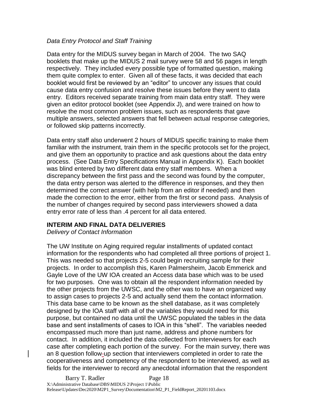## *Data Entry Protocol and Staff Training*

Data entry for the MIDUS survey began in March of 2004. The two SAQ booklets that make up the MIDUS 2 mail survey were 58 and 56 pages in length respectively. They included every possible type of formatted question, making them quite complex to enter. Given all of these facts, it was decided that each booklet would first be reviewed by an "editor" to uncover any issues that could cause data entry confusion and resolve these issues before they went to data entry. Editors received separate training from main data entry staff. They were given an editor protocol booklet (see Appendix J), and were trained on how to resolve the most common problem issues, such as respondents that gave multiple answers, selected answers that fell between actual response categories, or followed skip patterns incorrectly.

Data entry staff also underwent 2 hours of MIDUS specific training to make them familiar with the instrument, train them in the specific protocols set for the project, and give them an opportunity to practice and ask questions about the data entry process. (See Data Entry Specifications Manual in Appendix K). Each booklet was blind entered by two different data entry staff members. When a discrepancy between the first pass and the second was found by the computer, the data entry person was alerted to the difference in responses, and they then determined the correct answer (with help from an editor if needed) and then made the correction to the error, either from the first or second pass. Analysis of the number of changes required by second pass interviewers showed a data entry error rate of less than .4 percent for all data entered.

#### **INTERIM AND FINAL DATA DELIVERIES**

*Delivery of Contact Information*

The UW Institute on Aging required regular installments of updated contact information for the respondents who had completed all three portions of project 1. This was needed so that projects 2-5 could begin recruiting sample for their projects. In order to accomplish this, Karen Palmersheim, Jacob Emmerick and Gayle Love of the UW IOA created an Access data base which was to be used for two purposes. One was to obtain all the respondent information needed by the other projects from the UWSC, and the other was to have an organized way to assign cases to projects 2-5 and actually send them the contact information. This data base came to be known as the shell database, as it was completely designed by the IOA staff with all of the variables they would need for this purpose, but contained no data until the UWSC populated the tables in the data base and sent installments of cases to IOA in this "shell". The variables needed encompassed much more than just name, address and phone numbers for contact. In addition, it included the data collected from interviewers for each case after completing each portion of the survey. For the main survey, there was an 8 question follow-up section that interviewers completed in order to rate the cooperativeness and competency of the respondent to be interviewed, as well as fields for the interviewer to record any anecdotal information that the respondent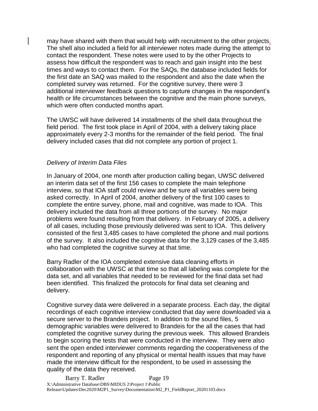may have shared with them that would help with recruitment to the other projects. The shell also included a field for all interviewer notes made during the attempt to contact the respondent. These notes were used to by the other Projects to assess how difficult the respondent was to reach and gain insight into the best times and ways to contact them. For the SAQs, the database included fields for the first date an SAQ was mailed to the respondent and also the date when the completed survey was returned. For the cognitive survey, there were 3 additional interviewer feedback questions to capture changes in the respondent's health or life circumstances between the cognitive and the main phone surveys, which were often conducted months apart.

The UWSC will have delivered 14 installments of the shell data throughout the field period. The first took place in April of 2004, with a delivery taking place approximately every 2-3 months for the remainder of the field period. The final delivery included cases that did not complete any portion of project 1.

#### *Delivery of Interim Data Files*

In January of 2004, one month after production calling began, UWSC delivered an interim data set of the first 156 cases to complete the main telephone interview, so that IOA staff could review and be sure all variables were being asked correctly. In April of 2004, another delivery of the first 100 cases to complete the entire survey, phone, mail and cognitive, was made to IOA. This delivery included the data from all three portions of the survey. No major problems were found resulting from that delivery. In February of 2005, a delivery of all cases, including those previously delivered was sent to IOA. This delivery consisted of the first 3,485 cases to have completed the phone and mail portions of the survey. It also included the cognitive data for the 3,129 cases of the 3,485 who had completed the cognitive survey at that time.

Barry Radler of the IOA completed extensive data cleaning efforts in collaboration with the UWSC at that time so that all labeling was complete for the data set, and all variables that needed to be reviewed for the final data set had been identified. This finalized the protocols for final data set cleaning and delivery.

Cognitive survey data were delivered in a separate process. Each day, the digital recordings of each cognitive interview conducted that day were downloaded via a secure server to the Brandeis project. In addition to the sound files, 5 demographic variables were delivered to Brandeis for the all the cases that had completed the cognitive survey during the previous week. This allowed Brandeis to begin scoring the tests that were conducted in the interview. They were also sent the open ended interviewer comments regarding the cooperativeness of the respondent and reporting of any physical or mental health issues that may have made the interview difficult for the respondent, to be used in assessing the quality of the data they received.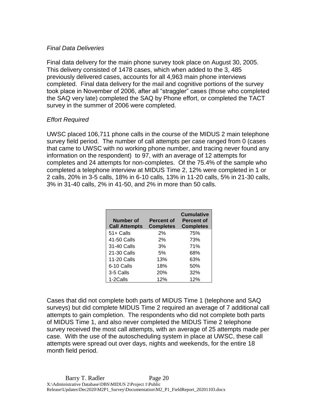## *Final Data Deliveries*

Final data delivery for the main phone survey took place on August 30, 2005. This delivery consisted of 1478 cases, which when added to the 3, 485 previously delivered cases, accounts for all 4,963 main phone interviews completed. Final data delivery for the mail and cognitive portions of the survey took place in November of 2006, after all "straggler" cases (those who completed the SAQ very late) completed the SAQ by Phone effort, or completed the TACT survey in the summer of 2006 were completed.

# *Effort Required*

UWSC placed 106,711 phone calls in the course of the MIDUS 2 main telephone survey field period. The number of call attempts per case ranged from 0 (cases that came to UWSC with no working phone number, and tracing never found any information on the respondent) to 97, with an average of 12 attempts for completes and 24 attempts for non-completes. Of the 75.4% of the sample who completed a telephone interview at MIDUS Time 2, 12% were completed in 1 or 2 calls, 20% in 3-5 calls, 18% in 6-10 calls, 13% in 11-20 calls, 5% in 21-30 calls, 3% in 31-40 calls, 2% in 41-50, and 2% in more than 50 calls.

| Number of<br><b>Call Attempts</b> | <b>Percent of</b><br><b>Completes</b> | <b>Cumulative</b><br><b>Percent of</b><br><b>Completes</b> |
|-----------------------------------|---------------------------------------|------------------------------------------------------------|
| $51 +$ Calls                      | 2%                                    | 75%                                                        |
| 41-50 Calls                       | 2%                                    | 73%                                                        |
| 31-40 Calls                       | 3%                                    | 71%                                                        |
| 21-30 Calls                       | 5%                                    | 68%                                                        |
| <b>11-20 Calls</b>                | 13%                                   | 63%                                                        |
| 6-10 Calls                        | 18%                                   | 50%                                                        |
| 3-5 Calls                         | 20%                                   | 32%                                                        |
| 1-2Calls                          | 12%                                   | 12%                                                        |

Cases that did not complete both parts of MIDUS Time 1 (telephone and SAQ surveys) but did complete MIDUS Time 2 required an average of 7 additional call attempts to gain completion. The respondents who did not complete both parts of MIDUS Time 1, and also never completed the MIDUS Time 2 telephone survey received the most call attempts, with an average of 25 attempts made per case. With the use of the autoscheduling system in place at UWSC, these call attempts were spread out over days, nights and weekends, for the entire 18 month field period.